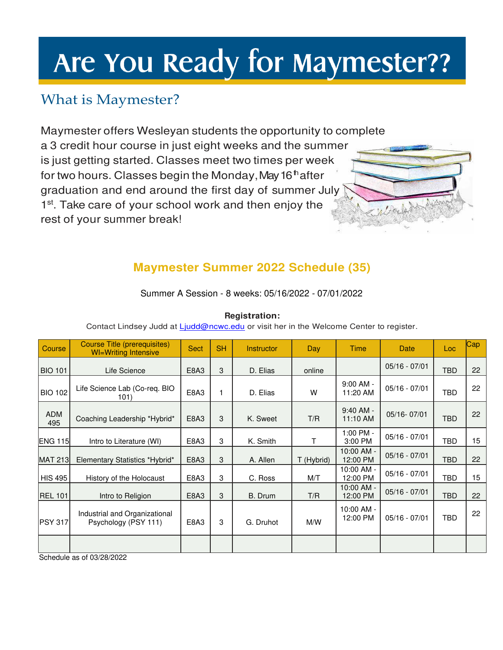# Are You Ready for Maymester??

# What is Maymester?

Maymester offers Wesleyan students the opportunity to complete a 3 credit hour course in just eight weeks and the summer is just getting started. Classes meet two times per week for two hours. Classes begin the Monday, May 16<sup>th</sup> after graduation and end around the first day of summer July 1<sup>st</sup>. Take care of your school work and then enjoy the rest of your summer break!



## **Maymester Summer 2022 Schedule (35)**

Summer A Session - 8 weeks: 05/16/2022 - 07/01/2022

| _ _ _ _ _ _ _<br>Contact Lindsey Judd at Ljudd@ncwc.edu or visit her in the Welcome Center to register. |  |  |  |  |  |  |  |  |  |  |  |  |
|---------------------------------------------------------------------------------------------------------|--|--|--|--|--|--|--|--|--|--|--|--|
|                                                                                                         |  |  |  |  |  |  |  |  |  |  |  |  |

**Registration:** 

| Course            | Course Title (prerequisites)<br><b>WI=Writing Intensive</b> | <b>Sect</b> | <b>SH</b> | <b>Instructor</b> | Day        | Time                     | <b>Date</b>     | Loc        | Cap |
|-------------------|-------------------------------------------------------------|-------------|-----------|-------------------|------------|--------------------------|-----------------|------------|-----|
| <b>BIO 101</b>    | Life Science                                                | E8A3        | 3         | D. Elias          | online     |                          | $05/16 - 07/01$ | <b>TBD</b> | 22  |
| <b>BIO 102</b>    | Life Science Lab (Co-req. BIO<br>101)                       | E8A3        | 1         | D. Elias          | W          | $9:00$ AM -<br>11:20 AM  | $05/16 - 07/01$ | TBD        | 22  |
| <b>ADM</b><br>495 | Coaching Leadership *Hybrid*                                | E8A3        | 3         | K. Sweet          | T/R        | $9:40$ AM -<br>11:10 AM  | 05/16-07/01     | <b>TBD</b> | 22  |
| <b>ENG 115</b>    | Intro to Literature (WI)                                    | E8A3        | 3         | K. Smith          | т          | 1:00 PM -<br>3:00 PM     | $05/16 - 07/01$ | TBD        | 15  |
| <b>MAT 213</b>    | Elementary Statistics *Hybrid*                              | E8A3        | 3         | A. Allen          | T (Hybrid) | 10:00 AM -<br>12:00 PM   | $05/16 - 07/01$ | <b>TBD</b> | 22  |
| <b>HIS 495</b>    | History of the Holocaust                                    | E8A3        | 3         | C. Ross           | M/T        | 10:00 AM -<br>12:00 PM   | $05/16 - 07/01$ | TBD        | 15  |
| <b>REL 101</b>    | Intro to Religion                                           | E8A3        | 3         | B. Drum           | T/R        | $10:00$ AM -<br>12:00 PM | $05/16 - 07/01$ | <b>TBD</b> | 22  |
| <b>PSY 317</b>    | Industrial and Organizational<br>Psychology (PSY 111)       | E8A3        | 3         | G. Druhot         | M/W        | $10:00$ AM -<br>12:00 PM | $05/16 - 07/01$ | TBD        | 22  |
|                   |                                                             |             |           |                   |            |                          |                 |            |     |

Schedule as of 03/28/2022